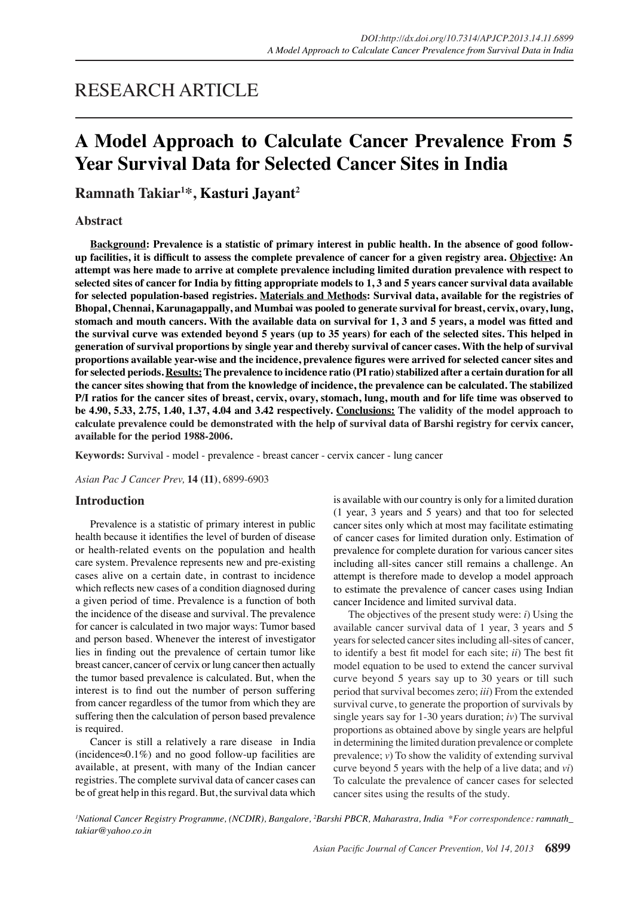## RESEARCH ARTICLE

## **A Model Approach to Calculate Cancer Prevalence From 5 Year Survival Data for Selected Cancer Sites in India**

**Ramnath Takiar<sup>1</sup> \*, Kasturi Jayant<sup>2</sup>**

#### **Abstract**

**Background: Prevalence is a statistic of primary interest in public health. In the absence of good followup facilities, it is difficult to assess the complete prevalence of cancer for a given registry area. Objective: An attempt was here made to arrive at complete prevalence including limited duration prevalence with respect to selected sites of cancer for India by fitting appropriate models to 1, 3 and 5 years cancer survival data available for selected population-based registries. Materials and Methods: Survival data, available for the registries of Bhopal, Chennai, Karunagappally, and Mumbai was pooled to generate survival for breast, cervix, ovary, lung, stomach and mouth cancers. With the available data on survival for 1, 3 and 5 years, a model was fitted and the survival curve was extended beyond 5 years (up to 35 years) for each of the selected sites. This helped in generation of survival proportions by single year and thereby survival of cancer cases. With the help of survival proportions available year-wise and the incidence, prevalence figures were arrived for selected cancer sites and for selected periods. Results: The prevalence to incidence ratio (PI ratio) stabilized after a certain duration for all the cancer sites showing that from the knowledge of incidence, the prevalence can be calculated. The stabilized P/I ratios for the cancer sites of breast, cervix, ovary, stomach, lung, mouth and for life time was observed to be 4.90, 5.33, 2.75, 1.40, 1.37, 4.04 and 3.42 respectively. Conclusions: The validity of the model approach to calculate prevalence could be demonstrated with the help of survival data of Barshi registry for cervix cancer, available for the period 1988-2006.**

**Keywords:** Survival - model - prevalence - breast cancer - cervix cancer - lung cancer

*Asian Pac J Cancer Prev,* **14 (11)**, 6899-6903

#### **Introduction**

Prevalence is a statistic of primary interest in public health because it identifies the level of burden of disease or health-related events on the population and health care system. Prevalence represents new and pre-existing cases alive on a certain date, in contrast to incidence which reflects new cases of a condition diagnosed during a given period of time. Prevalence is a function of both the incidence of the disease and survival. The prevalence for cancer is calculated in two major ways: Tumor based and person based. Whenever the interest of investigator lies in finding out the prevalence of certain tumor like breast cancer, cancer of cervix or lung cancer then actually the tumor based prevalence is calculated. But, when the interest is to find out the number of person suffering from cancer regardless of the tumor from which they are suffering then the calculation of person based prevalence is required.

Cancer is still a relatively a rare disease in India (incidence≈0.1%) and no good follow-up facilities are available, at present, with many of the Indian cancer registries. The complete survival data of cancer cases can be of great help in this regard. But, the survival data which is available with our country is only for a limited duration (1 year, 3 years and 5 years) and that too for selected cancer sites only which at most may facilitate estimating of cancer cases for limited duration only. Estimation of prevalence for complete duration for various cancer sites including all-sites cancer still remains a challenge. An attempt is therefore made to develop a model approach to estimate the prevalence of cancer cases using Indian cancer Incidence and limited survival data.

The objectives of the present study were: *i*) Using the available cancer survival data of 1 year, 3 years and 5 years for selected cancer sites including all-sites of cancer, to identify a best fit model for each site; *ii*) The best fit model equation to be used to extend the cancer survival curve beyond 5 years say up to 30 years or till such period that survival becomes zero; *iii*) From the extended survival curve, to generate the proportion of survivals by single years say for 1-30 years duration; *iv*) The survival proportions as obtained above by single years are helpful in determining the limited duration prevalence or complete prevalence; *v*) To show the validity of extending survival curve beyond 5 years with the help of a live data; and *vi*) To calculate the prevalence of cancer cases for selected cancer sites using the results of the study.

*1 National Cancer Registry Programme, (NCDIR), Bangalore, 2 Barshi PBCR, Maharastra, India \*For correspondence: ramnath\_ takiar@yahoo.co.in*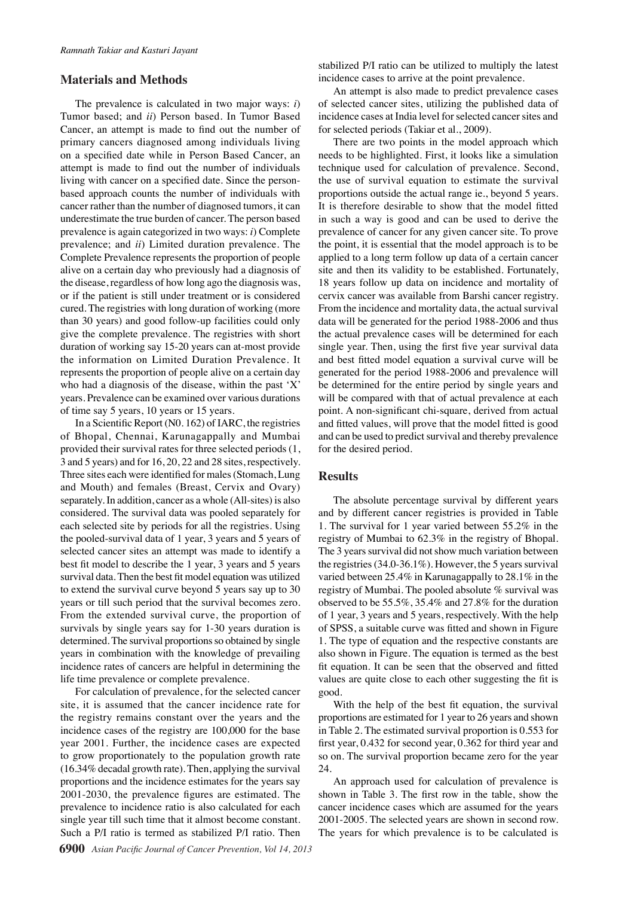#### **Materials and Methods**

The prevalence is calculated in two major ways: *i*) Tumor based; and *ii*) Person based. In Tumor Based Cancer, an attempt is made to find out the number of primary cancers diagnosed among individuals living on a specified date while in Person Based Cancer, an attempt is made to find out the number of individuals living with cancer on a specified date. Since the personbased approach counts the number of individuals with cancer rather than the number of diagnosed tumors, it can underestimate the true burden of cancer. The person based prevalence is again categorized in two ways: *i*) Complete prevalence; and *ii*) Limited duration prevalence. The Complete Prevalence represents the proportion of people alive on a certain day who previously had a diagnosis of the disease, regardless of how long ago the diagnosis was, or if the patient is still under treatment or is considered cured. The registries with long duration of working (more than 30 years) and good follow-up facilities could only give the complete prevalence. The registries with short duration of working say 15-20 years can at-most provide the information on Limited Duration Prevalence. It represents the proportion of people alive on a certain day who had a diagnosis of the disease, within the past 'X' years. Prevalence can be examined over various durations of time say 5 years, 10 years or 15 years.

In a Scientific Report (N0. 162) of IARC, the registries of Bhopal, Chennai, Karunagappally and Mumbai provided their survival rates for three selected periods (1, 3 and 5 years) and for 16, 20, 22 and 28 sites, respectively. Three sites each were identified for males (Stomach, Lung and Mouth) and females (Breast, Cervix and Ovary) separately. In addition, cancer as a whole (All-sites) is also considered. The survival data was pooled separately for each selected site by periods for all the registries. Using the pooled-survival data of 1 year, 3 years and 5 years of selected cancer sites an attempt was made to identify a best fit model to describe the 1 year, 3 years and 5 years survival data. Then the best fit model equation was utilized to extend the survival curve beyond 5 years say up to 30 years or till such period that the survival becomes zero. From the extended survival curve, the proportion of survivals by single years say for 1-30 years duration is determined. The survival proportions so obtained by single years in combination with the knowledge of prevailing incidence rates of cancers are helpful in determining the life time prevalence or complete prevalence.

For calculation of prevalence, for the selected cancer site, it is assumed that the cancer incidence rate for the registry remains constant over the years and the incidence cases of the registry are 100,000 for the base year 2001. Further, the incidence cases are expected to grow proportionately to the population growth rate (16.34% decadal growth rate). Then, applying the survival proportions and the incidence estimates for the years say 2001-2030, the prevalence figures are estimated. The prevalence to incidence ratio is also calculated for each single year till such time that it almost become constant. Such a P/I ratio is termed as stabilized P/I ratio. Then

stabilized P/I ratio can be utilized to multiply the latest incidence cases to arrive at the point prevalence.

An attempt is also made to predict prevalence cases of selected cancer sites, utilizing the published data of incidence cases at India level for selected cancer sites and for selected periods (Takiar et al., 2009).

There are two points in the model approach which needs to be highlighted. First, it looks like a simulation technique used for calculation of prevalence. Second, the use of survival equation to estimate the survival proportions outside the actual range ie., beyond 5 years. It is therefore desirable to show that the model fitted in such a way is good and can be used to derive the prevalence of cancer for any given cancer site. To prove the point, it is essential that the model approach is to be applied to a long term follow up data of a certain cancer site and then its validity to be established. Fortunately, 18 years follow up data on incidence and mortality of cervix cancer was available from Barshi cancer registry. From the incidence and mortality data, the actual survival data will be generated for the period 1988-2006 and thus the actual prevalence cases will be determined for each single year. Then, using the first five year survival data and best fitted model equation a survival curve will be generated for the period 1988-2006 and prevalence will be determined for the entire period by single years and will be compared with that of actual prevalence at each point. A non-significant chi-square, derived from actual and fitted values, will prove that the model fitted is good and can be used to predict survival and thereby prevalence for the desired period.

#### **Results**

The absolute percentage survival by different years and by different cancer registries is provided in Table 1. The survival for 1 year varied between 55.2% in the registry of Mumbai to 62.3% in the registry of Bhopal. The 3 years survival did not show much variation between the registries (34.0-36.1%). However, the 5 years survival varied between 25.4% in Karunagappally to 28.1% in the registry of Mumbai. The pooled absolute % survival was observed to be 55.5%, 35.4% and 27.8% for the duration of 1 year, 3 years and 5 years, respectively. With the help of SPSS, a suitable curve was fitted and shown in Figure 1. The type of equation and the respective constants are also shown in Figure. The equation is termed as the best fit equation. It can be seen that the observed and fitted values are quite close to each other suggesting the fit is good.

With the help of the best fit equation, the survival proportions are estimated for 1 year to 26 years and shown in Table 2. The estimated survival proportion is 0.553 for first year, 0.432 for second year, 0.362 for third year and so on. The survival proportion became zero for the year 24.

An approach used for calculation of prevalence is shown in Table 3. The first row in the table, show the cancer incidence cases which are assumed for the years 2001-2005. The selected years are shown in second row. The years for which prevalence is to be calculated is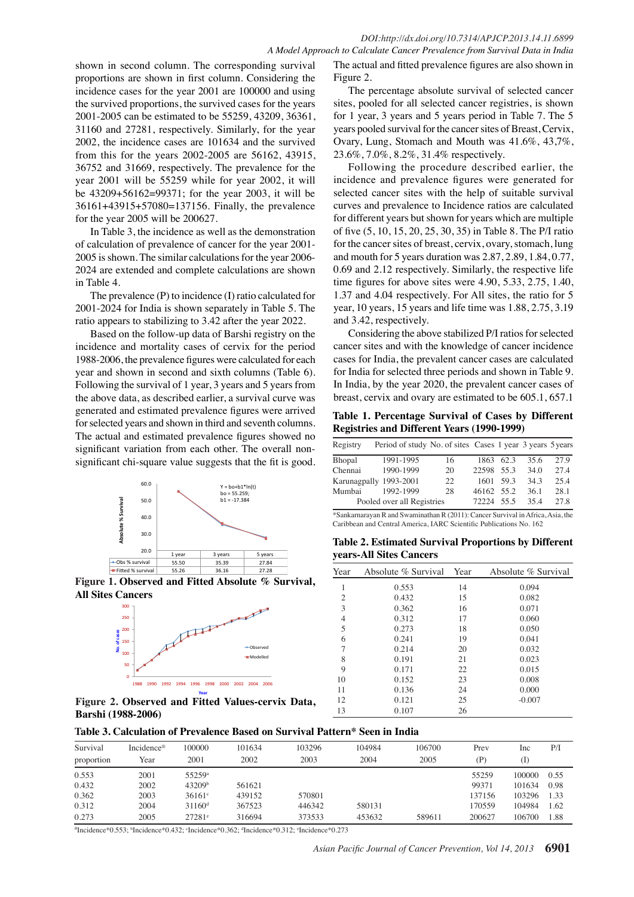shown in second column. The corresponding survival proportions are shown in first column. Considering the incidence cases for the year 2001 are 100000 and using the survived proportions, the survived cases for the years 2001-2005 can be estimated to be 55259, 43209, 36361, 31160 and 27281, respectively. Similarly, for the year 2002, the incidence cases are 101634 and the survived from this for the years 2002-2005 are 56162, 43915, 36752 and 31669, respectively. The prevalence for the year 2001 will be 55259 while for year 2002, it will be 43209+56162=99371; for the year 2003, it will be 36161+43915+57080=137156. Finally, the prevalence for the year 2005 will be 200627.

In Table 3, the incidence as well as the demonstration of calculation of prevalence of cancer for the year 2001- 2005 is shown. The similar calculations for the year 2006- 2024 are extended and complete calculations are shown in Table 4.

The prevalence (P) to incidence (I) ratio calculated for 2001-2024 for India is shown separately in Table 5. The ratio appears to stabilizing to 3.42 after the year 2022.

Based on the follow-up data of Barshi registry on the incidence and mortality cases of cervix for the period 1988-2006, the prevalence figures were calculated for each year and shown in second and sixth columns (Table 6). Following the survival of 1 year, 3 years and 5 years from the above data, as described earlier, a survival curve was generated and estimated prevalence figures were arrived for selected years and shown in third and seventh columns. The actual and estimated prevalence figures showed no significant variation from each other. The overall nonsignificant chi-square value suggests that the fit is good.



**Figure 1. Observed and Fitted Absolute % Survival, All Sites Cancers**



**Figure 2. Observed and Fitted Values-cervix Data, Barshi (1988-2006)**

The actual and fitted prevalence figures are also shown in Figure 2.

The percentage absolute survival of selected cancer sites, pooled for all selected cancer registries, is shown for 1 year, 3 years and 5 years period in Table 7. The 5 years pooled survival for the cancer sites of Breast, Cervix, Ovary, Lung, Stomach and Mouth was 41.6%, 43,7%, 23.6%, 7.0%, 8.2%, 31.4% respectively.

Following the procedure described earlier, the incidence and prevalence figures were generated for selected cancer sites with the help of suitable survival curves and prevalence to Incidence ratios are calculated for different years but shown for years which are multiple of five (5, 10, 15, 20, 25, 30, 35) in Table 8. The P/I ratio for the cancer sites of breast, cervix, ovary, stomach, lung and mouth for 5 years duration was 2.87, 2.89, 1.84, 0.77, 0.69 and 2.12 respectively. Similarly, the respective life time figures for above sites were 4.90, 5.33, 2.75, 1.40, 1.37 and 4.04 respectively. For All sites, the ratio for 5 year, 10 years, 15 years and life time was 1.88, 2.75, 3.19 and 3.42, respectively.

Considering the above stabilized P/I ratios for selected cancer sites and with the knowledge of cancer incidence cases for India, the prevalent cancer cases are calculated for India for selected three periods and shown in Table 9. In India, by the year 2020, the prevalent cancer cases of breast, cervix and ovary are estimated to be 605.1, 657.1

**Table 1. Percentage Survival of Cases by Different Registries and Different Years (1990-1999)**

| Registry | Period of study No. of sites Cases 1 year 3 years 5 years |    |            |      |      |      |
|----------|-----------------------------------------------------------|----|------------|------|------|------|
| Bhopal   | 1991-1995                                                 | 16 | 1863       | 62.3 | 35.6 | 27.9 |
| Chennai  | 1990-1999                                                 | 20 | 22598      | 55.3 | 34.0 | 27.4 |
|          | Karunagpally 1993-2001                                    | 22 | 1601       | 59.3 | 34.3 | 25.4 |
| Mumbai   | 1992-1999                                                 | 28 | 46162 55.2 |      | 36.1 | 28.1 |
|          | Pooled over all Registries                                |    | 72224      | 55.5 | 35.4 | 27 R |

\*Sankarnarayan R and Swaminathan R (2011): Cancer Survival in Africa, Asia, the Caribbean and Central America, IARC Scientific Publications No. 162

**Table 2. Estimated Survival Proportions by Different years-All Sites Cancers**

| Year | Absolute % Survival Year |    | Absolute % Survival |
|------|--------------------------|----|---------------------|
|      | 0.553                    | 14 | 0.094               |
| 2    | 0.432                    | 15 | 0.082               |
| 3    | 0.362                    | 16 | 0.071               |
| 4    | 0.312                    | 17 | 0.060               |
| 5    | 0.273                    | 18 | 0.050               |
| 6    | 0.241                    | 19 | 0.041               |
| 7    | 0.214                    | 20 | 0.032               |
| 8    | 0.191                    | 21 | 0.023               |
| 9    | 0.171                    | 22 | 0.015               |
| 10   | 0.152                    | 23 | 0.008               |
| 11   | 0.136                    | 24 | 0.000               |
| 12   | 0.121                    | 25 | $-0.007$            |
| 13   | 0.107                    | 26 |                     |

#### **Table 3. Calculation of Prevalence Based on Survival Pattern\* Seen in India**

| Survival<br>proportion | Incidence <sup>®</sup><br>Year | 100000<br>2001       | 101634<br>2002 | 103296<br>2003 | 104984<br>2004 | 106700<br>2005 | Prev<br>(P) | Inc<br>(I) | P/I  |
|------------------------|--------------------------------|----------------------|----------------|----------------|----------------|----------------|-------------|------------|------|
| 0.553                  | 2001                           | 55259 <sup>a</sup>   |                |                |                |                | 55259       | 100000     | 0.55 |
| 0.432                  | 2002                           | 43209 <sup>b</sup>   | 561621         |                |                |                | 99371       | 101634     | 0.98 |
| 0.362                  | 2003                           | $36161$ <sup>c</sup> | 439152         | 570801         |                |                | 137156      | 103296     | 1.33 |
| 0.312                  | 2004                           | $31160^d$            | 367523         | 446342         | 580131         |                | 170559      | 104984     | 1.62 |
| 0.273                  | 2005                           | 27281°               | 316694         | 373533         | 453632         | 589611         | 200627      | 106700     | 1.88 |

<sup>a</sup>Incidence\*0.553; bIncidence\*0.432; cIncidence\*0.362; dIncidence\*0.312; cIncidence\*0.273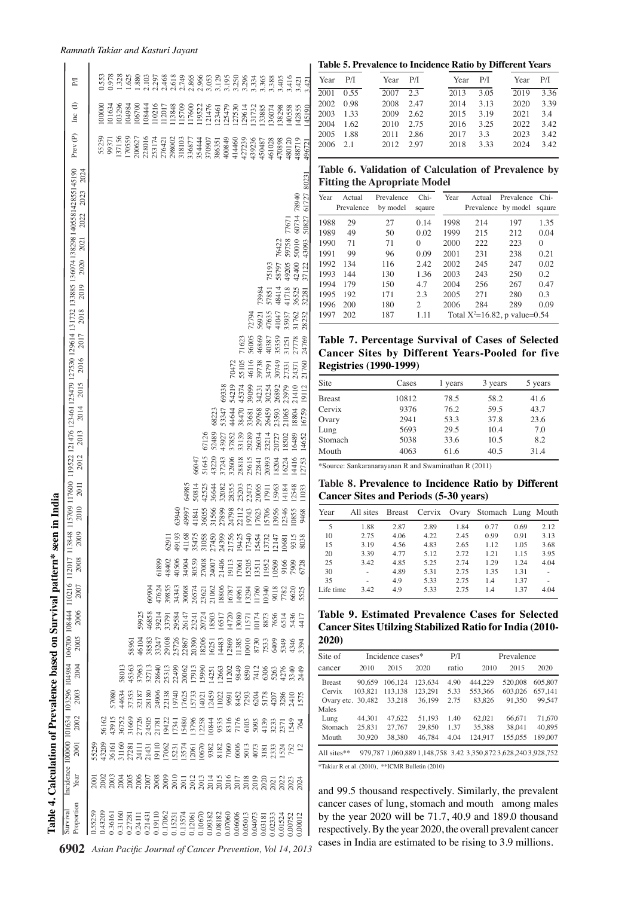|                                                          | Table 4. Calculation of Prevalence based on Survival pattern* seen in India |                                                                                                                                                                                                 |                                                                 |                                  |                                                      |                                  |                |                         |                                  |                                           |                                                                                                                                                                                                                                                                       |       |               |                                                                                                                                                                                                                                                         |          |             |                |
|----------------------------------------------------------|-----------------------------------------------------------------------------|-------------------------------------------------------------------------------------------------------------------------------------------------------------------------------------------------|-----------------------------------------------------------------|----------------------------------|------------------------------------------------------|----------------------------------|----------------|-------------------------|----------------------------------|-------------------------------------------|-----------------------------------------------------------------------------------------------------------------------------------------------------------------------------------------------------------------------------------------------------------------------|-------|---------------|---------------------------------------------------------------------------------------------------------------------------------------------------------------------------------------------------------------------------------------------------------|----------|-------------|----------------|
| 6902                                                     | Proportion<br>Survival                                                      | Year                                                                                                                                                                                            | Incidence 100000<br><b>2001</b>                                 | 2002                             | 2003                                                 | 2004                             | 2005           | 2006                    | 2007                             | 2008                                      | 2009                                                                                                                                                                                                                                                                  | 2010  | 2011          | 101634 103296 104984 106710 112017 113848 115709 117600 119522 121476 123461125479 127530 129614 131732 133885 136074 138298 140558142855145190<br>2024<br>2023<br>2022<br>2021<br>2020<br>2019<br>2018<br>2017<br>2016<br>2015<br>2014<br>2013<br>2012 | Prev (P) | $\ln c$ (I) | FД             |
|                                                          | 0.55259                                                                     |                                                                                                                                                                                                 | 5525                                                            |                                  |                                                      |                                  |                |                         |                                  |                                           |                                                                                                                                                                                                                                                                       |       |               |                                                                                                                                                                                                                                                         |          |             |                |
|                                                          | 0.43209                                                                     |                                                                                                                                                                                                 |                                                                 |                                  |                                                      |                                  |                |                         |                                  |                                           |                                                                                                                                                                                                                                                                       |       |               |                                                                                                                                                                                                                                                         | 55259    | 100000      | 1.553          |
|                                                          | 0.36161                                                                     |                                                                                                                                                                                                 | 43209<br>36161                                                  | 56162<br>43915                   | 57080                                                |                                  |                |                         |                                  |                                           |                                                                                                                                                                                                                                                                       |       |               |                                                                                                                                                                                                                                                         | 99371    | 01634       | 0.978          |
|                                                          | 0.31160                                                                     |                                                                                                                                                                                                 |                                                                 | 86752                            | 44634                                                | 5801                             |                |                         |                                  |                                           |                                                                                                                                                                                                                                                                       |       |               |                                                                                                                                                                                                                                                         | 37156    | 03296       | .328           |
|                                                          | 0.27281                                                                     |                                                                                                                                                                                                 |                                                                 |                                  |                                                      | 45363                            | 5896           |                         |                                  |                                           |                                                                                                                                                                                                                                                                       |       |               |                                                                                                                                                                                                                                                         | 170559   | 78670       | .625           |
|                                                          | 0.24111                                                                     |                                                                                                                                                                                                 |                                                                 |                                  | 37353<br>32187                                       | 37963                            |                | 5992:                   |                                  |                                           |                                                                                                                                                                                                                                                                       |       |               |                                                                                                                                                                                                                                                         | 200627   | 06700       | 1.880          |
|                                                          | 0.21431                                                                     |                                                                                                                                                                                                 |                                                                 |                                  |                                                      | 3271                             | 46104<br>38583 | 46858                   | 6090 <sup>2</sup>                |                                           |                                                                                                                                                                                                                                                                       |       |               |                                                                                                                                                                                                                                                         | 228016   | 08444       | 2.103          |
|                                                          | 0.19110                                                                     |                                                                                                                                                                                                 | 31160<br>27281<br>24111<br>21431<br>19110                       | 31665<br>27726<br>24505<br>21781 |                                                      |                                  |                | 39214                   | 47624                            | 61899                                     |                                                                                                                                                                                                                                                                       |       |               |                                                                                                                                                                                                                                                         | 253174   | 10216       | 2.297          |
|                                                          | 0.17062                                                                     |                                                                                                                                                                                                 |                                                                 |                                  |                                                      |                                  | 33247<br>29108 | 3379                    | 3985                             | 48402                                     | 6291                                                                                                                                                                                                                                                                  |       |               |                                                                                                                                                                                                                                                         | 276421   | 1201        | 2.468          |
|                                                          | 0.15231                                                                     |                                                                                                                                                                                                 | $\begin{array}{c} 17062 \\ 15231 \\ 13574 \\ 12061 \end{array}$ | 19422<br>1734<br>15480           |                                                      | 28640<br>25313<br>20062<br>20062 |                | 29584                   |                                  | 40506                                     | 49193                                                                                                                                                                                                                                                                 | 63940 |               |                                                                                                                                                                                                                                                         | 298002   | 13848       | 2.618<br>2.749 |
|                                                          | 0.13574                                                                     |                                                                                                                                                                                                 |                                                                 |                                  |                                                      |                                  | 25726<br>22867 |                         | 34343<br>30068                   | 84904                                     |                                                                                                                                                                                                                                                                       | 49997 | \$649         |                                                                                                                                                                                                                                                         | 318103   | 115709      |                |
|                                                          | 0.12061                                                                     |                                                                                                                                                                                                 |                                                                 |                                  |                                                      |                                  | 20390          |                         | 26574                            | 30559                                     |                                                                                                                                                                                                                                                                       | 4184  | 50814         | 66047                                                                                                                                                                                                                                                   | 336877   | 17600       | 2.865          |
| Asian Pacific Journal of Cancer Prevention, Vol 14, 2013 | 0.10670                                                                     | ក្ខុខ្លួន ខេត្ត ខេត្ត ខ្លួន ក្នុង ដូច ក្នុង ដូច ក្នុង<br>ក្នុង ក្នុង ក្នុង ក្នុង ក្នុង ក្នុង ក្នុង ក្នុង ក្នុង ក្នុង ក្នុង ក្នុង<br>ក្នុង ក្នុង ក្នុង ក្នុង ក្នុង ក្នុង ក្នុង ក្នុង ក្នុង ក្នុង | 10670                                                           | 13796<br>12258                   | 28180<br>24906<br>22138<br>19740<br>115733<br>115733 | 17913<br>15990                   | 18206          | 26147<br>23241<br>20724 |                                  |                                           | $\begin{array}{l} 41168\\ 35475\\ 31058\\ 21450\\ 21756\\ 21756\\ 21756\\ 19454\\ 113454\\ 15454\\ 15454\\ 15454\\ 15454\\ 15454\\ 15454\\ 15454\\ 15454\\ 15454\\ 15454\\ 15454\\ 15454\\ 15454\\ 15454\\ 15454\\ 15454\\ 15454\\ 15454\\ 15454\\ 15454\\ 15454\\ 1$ | 36055 | 4252.         | 67126<br>51645                                                                                                                                                                                                                                          | 354444   | 19522       | 2.966          |
|                                                          | 0.09382                                                                     |                                                                                                                                                                                                 | 9382                                                            | 10844                            | 12459                                                | 14251                            |                | 18503                   | 23621<br>21062<br>18806<br>16787 | 27008<br>24007<br>21406<br>19113<br>17061 |                                                                                                                                                                                                                                                                       | 31566 | 36644         | 68223<br>52489<br>13220                                                                                                                                                                                                                                 | 370907   | 21476       | 3.053          |
|                                                          | 0.08182                                                                     |                                                                                                                                                                                                 |                                                                 | 9535                             | 11022                                                | 12663                            | 16251<br>14483 |                         |                                  |                                           |                                                                                                                                                                                                                                                                       | 27899 | 32082         | 43927<br>37243                                                                                                                                                                                                                                          | 386351   | .23461      | 3.129          |
|                                                          | 0.07060                                                                     |                                                                                                                                                                                                 |                                                                 | 8316                             | 9691                                                 | 11202                            | 12869          | 16517<br>14720          |                                  |                                           |                                                                                                                                                                                                                                                                       | 24798 | 28355         | 59338<br>53347<br>37852<br>32606                                                                                                                                                                                                                        | 400849   | 25479       | 3.195          |
|                                                          | 0.06006                                                                     |                                                                                                                                                                                                 | 8182<br>7060<br>6006                                            | 7176                             | 8452                                                 | 9849                             | 11385          | 13080                   | 14961                            |                                           |                                                                                                                                                                                                                                                                       | 22112 | 25203         | <b>NO472</b><br>54219<br>44644<br>38470<br>33139<br>28818                                                                                                                                                                                               | 414460   | 27530       | 3.250          |
|                                                          | 0.05013                                                                     |                                                                                                                                                                                                 | 5013                                                            | 6105                             | 7293                                                 | 8590                             | 1001           | 157                     |                                  | 15205                                     |                                                                                                                                                                                                                                                                       | 19743 | 22473         | 71623<br>55105<br>45374<br>29289<br>25615                                                                                                                                                                                                               | 427239   | 29614       | 3.296          |
|                                                          | 0.04073                                                                     |                                                                                                                                                                                                 | 4073                                                            | 5095                             | 6204                                                 | 7412                             | 8730           | 0174                    | $\frac{13294}{11760}$            | 13511                                     |                                                                                                                                                                                                                                                                       | 17623 | 20065         | 72794<br>56005<br>46116<br>89099<br>33681<br>22841                                                                                                                                                                                                      | 439236   | 131732      | 3.334          |
|                                                          | 0.03181                                                                     |                                                                                                                                                                                                 | 3181                                                            | 4139                             | 5178                                                 | 6306                             | 7533           | 8873                    | 0340                             | 11952                                     | 1373.                                                                                                                                                                                                                                                                 | 15706 |               | 73984<br>56921<br>46869<br>39738<br>34231<br>29768<br>26034                                                                                                                                                                                             | 450487   | 133885      | 3.365          |
|                                                          | 0.02333                                                                     | 2020                                                                                                                                                                                            | 2333                                                            | 3233                             | 4207                                                 | 5263                             | 6409           | 7656                    | 9018                             | 0509                                      | 1214                                                                                                                                                                                                                                                                  | 13956 | 15963<br>1791 | 75193<br>57851<br>47635<br>40387<br>16/17<br>80254<br>26459<br>23214<br>20393<br>18204                                                                                                                                                                  | 161028   | 136074      | 3.388          |
|                                                          | 0.01524                                                                     |                                                                                                                                                                                                 | 1524                                                            | 237                              | 3286                                                 | 4276                             | 5349           | 6514                    | 7782                             | 9166                                      | 1068                                                                                                                                                                                                                                                                  | .2346 |               | 76422<br>58797<br>48414<br>41047<br>35359<br>30749<br>26892<br>23593<br>20727                                                                                                                                                                           | 170898   | 138298      | 3.405          |
|                                                          | 0.00752                                                                     | 2022<br>2023                                                                                                                                                                                    | 752                                                             | 1549                             | 2410                                                 | 3340                             | 4346           | 5436                    | 6620                             | 7909                                      | 931.                                                                                                                                                                                                                                                                  |       | 14184         | 77671<br>59758<br>49205<br>41718<br>35937<br>31251<br>27331<br>23979<br>21065<br>18502<br>16224                                                                                                                                                         | 480120   | 140558      | 3.416          |
|                                                          | 0.00012                                                                     | 2024                                                                                                                                                                                            | $\overline{c}$                                                  | 764                              | 1575                                                 | 2449                             | 3394           | 4417                    | 5525                             | 6728                                      | 8038                                                                                                                                                                                                                                                                  | 10855 | 12548         | 60734 78940<br>50010<br>42400<br>36525<br>31762<br>27778<br>24371<br>21410<br>18804<br>16489<br>14416                                                                                                                                                   | 488719   | 142855      | 3.421          |
|                                                          |                                                                             |                                                                                                                                                                                                 |                                                                 |                                  |                                                      |                                  |                |                         |                                  |                                           |                                                                                                                                                                                                                                                                       | 9468  | 11033         | 50827 61727 80231<br>43093<br>37122<br>32281<br>28232<br>24769<br>21760<br>19112<br>16759<br>14652<br>12753                                                                                                                                             | 496721   | 145190      | 3.421          |

*Ramnath Takiar and Kasturi Jayant*

#### **Table 5. Prevalence to Incidence Ratio by Different Years**

| Year P/I  |           | $Year$ $P/I$ |      | Year P/I |      | Year | P/I  |
|-----------|-----------|--------------|------|----------|------|------|------|
|           | 2001 0.55 | 2007 2.3     |      | 2013     | 3.05 | 2019 | 3.36 |
| 2002 0.98 |           | 2008         | 2.47 | 2014     | 3.13 | 2020 | 3.39 |
| 2003 1.33 |           | 2009         | 2.62 | 2015     | 3.19 | 2021 | 3.4  |
| 2004 1.62 |           | 2010         | 2.75 | 2016     | 3.25 | 2022 | 3.42 |
| 2005 1.88 |           | 2011         | 2.86 | 2017     | 3.3  | 2023 | 3.42 |
| 2006      | 21        | 2012         | 297  | 2018     | 333  | 2024 | 3.42 |
|           |           |              |      |          |      |      |      |

|  |                                     |  | Table 6. Validation of Calculation of Prevalence by |  |  |
|--|-------------------------------------|--|-----------------------------------------------------|--|--|
|  | <b>Fitting the Apropriate Model</b> |  |                                                     |  |  |

| Year | Actual     | Prevalence | $Chi-$                      | Year | Actual | Prevalence                         | $Chi-$   |
|------|------------|------------|-----------------------------|------|--------|------------------------------------|----------|
|      | Prevalence | by model   | sqaure                      |      |        | Prevalence by model                | sqaure   |
| 1988 | 29         | 27         | 0.14                        | 1998 | 214    | 197                                | 1.35     |
| 1989 | 49         | 50         | 0.02                        | 1999 | 215    | 212                                | 0.04     |
| 1990 | 71         | 71         | $\Omega$                    | 2000 | 222    | 223                                | $\Omega$ |
| 1991 | 99         | 96         | 0.09                        | 2001 | 231    | 238                                | 0.21     |
| 1992 | 134        | 116        | 2.42                        | 2002 | 245    | 247                                | 0.02     |
| 1993 | 144        | 130        | 1.36                        | 2003 | 243    | 250                                | 0.2      |
| 1994 | 179        | 150        | 4.7                         | 2004 | 256    | 267                                | 0.47     |
| 1995 | 192        | 171        | 2.3                         | 2005 | 271    | 280                                | 0.3      |
| 1996 | 200        | 180        | $\mathcal{D}_{\mathcal{A}}$ | 2006 | 284    | 289                                | 0.09     |
| 1997 | 202        | 187        | 1.11                        |      |        | Total $X^2 = 16.82$ , p value=0.54 |          |

**Table 7. Percentage Survival of Cases of Selected Cancer Sites by Different Years-Pooled for five Registries (1990-1999)**

| Site          | Cases | 1 years | 3 years | 5 years |
|---------------|-------|---------|---------|---------|
| <b>Breast</b> | 10812 | 78.5    | 58.2    | 41.6    |
| Cervix        | 9376  | 76.2    | 59.5    | 43.7    |
| Ovary         | 2941  | 53.3    | 37.8    | 23.6    |
| Lung          | 5693  | 29.5    | 10.4    | 7.0     |
| Stomach       | 5038  | 33.6    | 10.5    | 8.2     |
| Mouth         | 4063  | 61.6    | 40.5    | 31.4    |
|               |       |         |         |         |

\*Source: Sankaranarayanan R and Swaminathan R (2011)

**Table 8. Prevalence to Incidence Ratio by Different Cancer Sites and Periods (5-30 years)**

| Year      | All sites Breast |      |      |      | Cervix Ovary Stomach Lung Mouth |      |      |
|-----------|------------------|------|------|------|---------------------------------|------|------|
| 5         | 1.88             | 2.87 | 2.89 | 1.84 | 0.77                            | 0.69 | 2.12 |
| 10        | 2.75             | 4.06 | 4.22 | 2.45 | 0.99                            | 0.91 | 3.13 |
| 15        | 3.19             | 4.56 | 4.83 | 2.65 | 1.12                            | 1.05 | 3.68 |
| 20        | 3.39             | 4.77 | 5.12 | 2.72 | 1.21                            | 1.15 | 3.95 |
| 25        | 3.42             | 4.85 | 5.25 | 2.74 | 1.29                            | 1.24 | 4.04 |
| 30        |                  | 4.89 | 5.31 | 2.75 | 1.35                            | 1.31 |      |
| 35        |                  | 4.9  | 5.33 | 2.75 | 1.4                             | 1.37 |      |
| Life time | 3.42             | 4.9  | 5.33 | 2.75 | 1.4                             | 1.37 | 4.04 |

**Table 9. Estimated Prevalence Cases for Selected Cancer Sites Utilzing Stabilized Ratio for India (2010- 2020)**

| Site of           |         | Incidence cases* |         | P/I   |                                                                | Prevalence |         |
|-------------------|---------|------------------|---------|-------|----------------------------------------------------------------|------------|---------|
| cancer            | 2010    | 2015             | 2020    | ratio | 2010                                                           | 2015       | 2020    |
| <b>Breast</b>     | 90.659  | 106.124          | 123,634 | 4.90  | 444.229                                                        | 520,008    | 605,807 |
| Cervix            | 103.821 | 113.138          | 123.291 | 5.33  | 553.366                                                        | 603,026    | 657.141 |
| Ovary etc. 30,482 |         | 33.218           | 36.199  | 2.75  | 83.826                                                         | 91.350     | 99.547  |
| Males             |         |                  |         |       |                                                                |            |         |
| Lung              | 44.301  | 47.622           | 51.193  | 1.40  | 62.021                                                         | 66,671     | 71,670  |
| Stomach           | 25,831  | 27.767           | 29,850  | 1.37  | 35.388                                                         | 38,041     | 40.895  |
| Mouth             | 30.920  | 38.380           | 46.784  | 4.04  | 124.917                                                        | 155,055    | 189,007 |
| All sites $**$    |         |                  |         |       | 979.787 1.060.889 1.148.758 3.42 3.350.872 3.628.240 3.928.752 |            |         |

\*Takiar R et al. (2010), \*\*ICMR Bulletin (2010)  $100.0$ 

50.0 by the year 2020 will be 71.7, 40.9 and 189.0 thousand and 99.5 thousand respectively. Similarly,  $\frac{6.3}{\text{the prevalent}}$  **10.1** 20.3 respectively. By the year 2020, the overall prevalent cancer<br>cases in India are estimated to be rising to 3.**56.3**1 cancer cases of lung, stomach and mouth among males cases in India are estimated to be rising to  $3.96$  m<sup>3</sup>llions.

 $25.0$ 

**54.2**